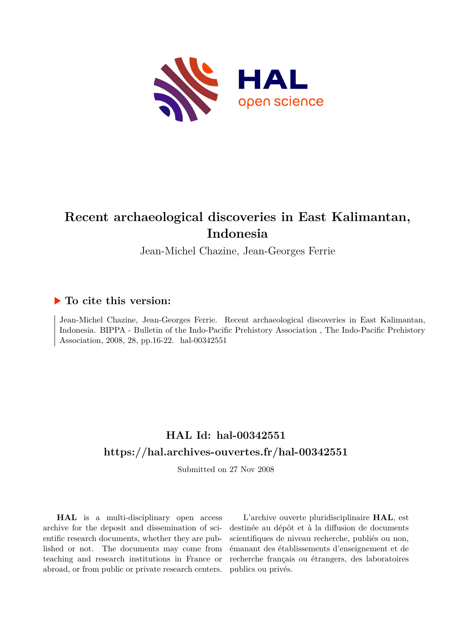

# **Recent archaeological discoveries in East Kalimantan, Indonesia**

Jean-Michel Chazine, Jean-Georges Ferrie

### **To cite this version:**

Jean-Michel Chazine, Jean-Georges Ferrie. Recent archaeological discoveries in East Kalimantan, Indonesia. BIPPA - Bulletin of the Indo-Pacific Prehistory Association , The Indo-Pacific Prehistory Association, 2008, 28, pp.16-22. hal-00342551

## **HAL Id: hal-00342551 <https://hal.archives-ouvertes.fr/hal-00342551>**

Submitted on 27 Nov 2008

**HAL** is a multi-disciplinary open access archive for the deposit and dissemination of scientific research documents, whether they are published or not. The documents may come from teaching and research institutions in France or abroad, or from public or private research centers.

L'archive ouverte pluridisciplinaire **HAL**, est destinée au dépôt et à la diffusion de documents scientifiques de niveau recherche, publiés ou non, émanant des établissements d'enseignement et de recherche français ou étrangers, des laboratoires publics ou privés.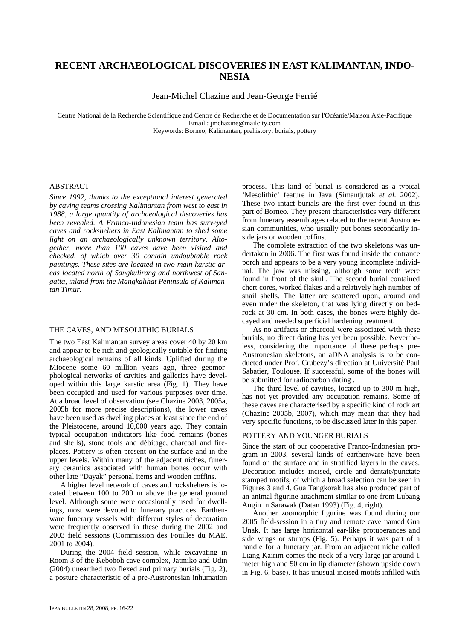### **RECENT ARCHAEOLOGICAL DISCOVERIES IN EAST KALIMANTAN, INDO-NESIA**

Jean-Michel Chazine and Jean-George Ferrié

Centre National de la Recherche Scientifique and Centre de Recherche et de Documentation sur l'Océanie/Maison Asie-Pacifique Email : jmchazine@mailcity.com

Keywords: Borneo, Kalimantan, prehistory, burials, pottery

#### **ABSTRACT**

*Since 1992, thanks to the exceptional interest generated by caving teams crossing Kalimantan from west to east in 1988, a large quantity of archaeological discoveries has been revealed. A Franco-Indonesian team has surveyed caves and rockshelters in East Kalimantan to shed some light on an archaeologically unknown territory. Altogether, more than 100 caves have been visited and checked, of which over 30 contain undoubtable rock paintings. These sites are located in two main karstic areas located north of Sangkulirang and northwest of Sangatta, inland from the Mangkalihat Peninsula of Kalimantan Timur.* 

#### THE CAVES, AND MESOLITHIC BURIALS

The two East Kalimantan survey areas cover 40 by 20 km and appear to be rich and geologically suitable for finding archaeological remains of all kinds. Uplifted during the Miocene some 60 million years ago, three geomorphological networks of cavities and galleries have developed within this large karstic area (Fig. 1). They have been occupied and used for various purposes over time. At a broad level of observation (see Chazine 2003, 2005a, 2005b for more precise descriptions), the lower caves have been used as dwelling places at least since the end of the Pleistocene, around 10,000 years ago. They contain typical occupation indicators like food remains (bones and shells), stone tools and débitage, charcoal and fireplaces. Pottery is often present on the surface and in the upper levels. Within many of the adjacent niches, funerary ceramics associated with human bones occur with other late "Dayak" personal items and wooden coffins.

A higher level network of caves and rockshelters is located between 100 to 200 m above the general ground level. Although some were occasionally used for dwellings, most were devoted to funerary practices. Earthenware funerary vessels with different styles of decoration were frequently observed in these during the 2002 and 2003 field sessions (Commission des Fouilles du MAE, 2001 to 2004).

During the 2004 field session, while excavating in Room 3 of the Keboboh cave complex, Jatmiko and Udin (2004) unearthed two flexed and primary burials (Fig. 2), a posture characteristic of a pre-Austronesian inhumation

process. This kind of burial is considered as a typical 'Mesolithic' feature in Java (Simantjutak *et al.* 2002). These two intact burials are the first ever found in this part of Borneo. They present characteristics very different from funerary assemblages related to the recent Austronesian communities, who usually put bones secondarily inside jars or wooden coffins.

The complete extraction of the two skeletons was undertaken in 2006. The first was found inside the entrance porch and appears to be a very young incomplete individual. The jaw was missing, although some teeth were found in front of the skull. The second burial contained chert cores, worked flakes and a relatively high number of snail shells. The latter are scattered upon, around and even under the skeleton, that was lying directly on bedrock at 30 cm. In both cases, the bones were highly decayed and needed superficial hardening treatment.

As no artifacts or charcoal were associated with these burials, no direct dating has yet been possible. Nevertheless, considering the importance of these perhaps pre-Austronesian skeletons, an aDNA analysis is to be conducted under Prof. Crubezy's direction at Université Paul Sabatier, Toulouse. If successful, some of the bones will be submitted for radiocarbon dating .

The third level of cavities, located up to 300 m high, has not yet provided any occupation remains. Some of these caves are characterised by a specific kind of rock art (Chazine 2005b, 2007), which may mean that they had very specific functions, to be discussed later in this paper.

#### POTTERY AND YOUNGER BURIALS

Since the start of our cooperative Franco-Indonesian program in 2003, several kinds of earthenware have been found on the surface and in stratified layers in the caves. Decoration includes incised, circle and dentate/punctate stamped motifs, of which a broad selection can be seen in Figures 3 and 4. Gua Tangkorak has also produced part of an animal figurine attachment similar to one from Lubang Angin in Sarawak (Datan 1993) (Fig. 4, right).

Another zoomorphic figurine was found during our 2005 field-session in a tiny and remote cave named Gua Unak. It has large horizontal ear-like protuberances and side wings or stumps (Fig. 5). Perhaps it was part of a handle for a funerary jar. From an adjacent niche called Liang Kairim comes the neck of a very large jar around 1 meter high and 50 cm in lip diameter (shown upside down in Fig. 6, base). It has unusual incised motifs infilled with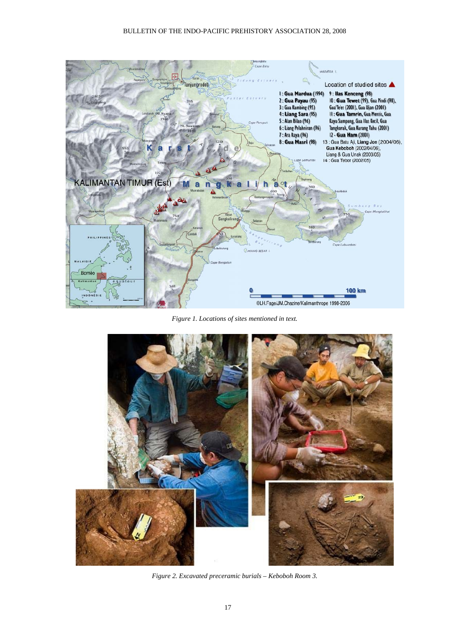

*Figure 1. Locations of sites mentioned in text.* 



*Figure 2. Excavated preceramic burials – Keboboh Room 3.*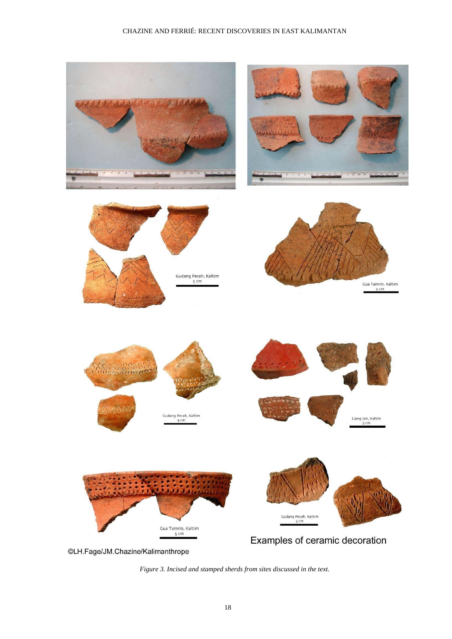

*Figure 3. Incised and stamped sherds from sites discussed in the text.*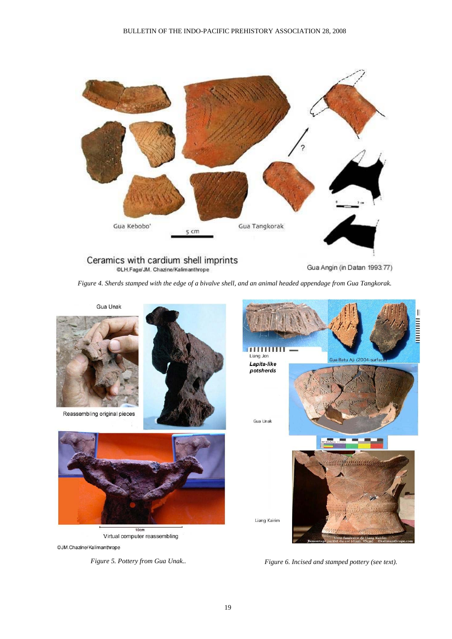

Ceramics with cardium shell imprints @LH.Fage/JM. Chazine/Kalimanthrope

Gua Angin (in Datan 1993: 77)

*Figure 4. Sherds stamped with the edge of a bivalve shell, and an animal headed appendage from Gua Tangkorak.*



Reassembling original pieces





Virtual computer reassembling

©JM.Chazine/Kalimanthrope



*Figure 5. Pottery from Gua Unak.. Figure 6. Incised and stamped pottery (see text).*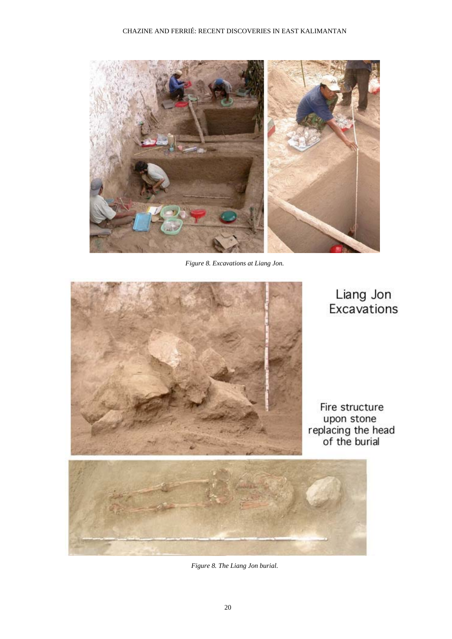

*Figure 8. Excavations at Liang Jon.* 



*Figure 8. The Liang Jon burial.*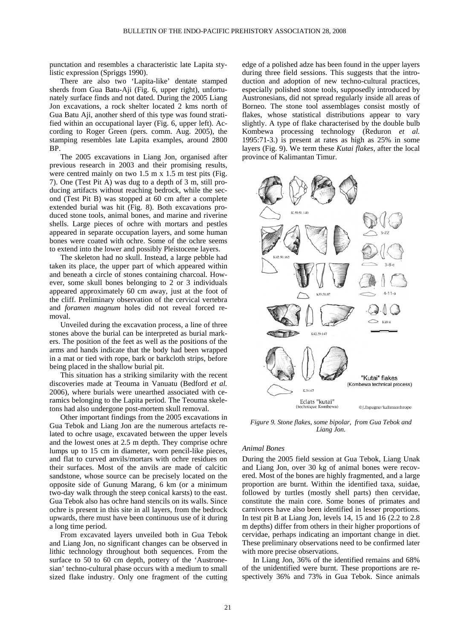punctation and resembles a characteristic late Lapita stylistic expression (Spriggs 1990).

There are also two 'Lapita-like' dentate stamped sherds from Gua Batu-Aji (Fig. 6, upper right), unfortunately surface finds and not dated. During the 2005 Liang Jon excavations, a rock shelter located 2 kms north of Gua Batu Aji, another sherd of this type was found stratified within an occupational layer (Fig. 6, upper left). According to Roger Green (pers. comm. Aug. 2005), the stamping resembles late Lapita examples, around 2800 BP.

The 2005 excavations in Liang Jon, organised after previous research in 2003 and their promising results, were centred mainly on two 1.5 m x 1.5 m test pits (Fig. 7). One (Test Pit A) was dug to a depth of 3 m, still producing artifacts without reaching bedrock, while the second (Test Pit B) was stopped at 60 cm after a complete extended burial was hit (Fig. 8). Both excavations produced stone tools, animal bones, and marine and riverine shells. Large pieces of ochre with mortars and pestles appeared in separate occupation layers, and some human bones were coated with ochre. Some of the ochre seems to extend into the lower and possibly Pleistocene layers.

The skeleton had no skull. Instead, a large pebble had taken its place, the upper part of which appeared within and beneath a circle of stones containing charcoal. However, some skull bones belonging to 2 or 3 individuals appeared approximately 60 cm away, just at the foot of the cliff. Preliminary observation of the cervical vertebra and *foramen magnum* holes did not reveal forced removal.

Unveiled during the excavation process, a line of three stones above the burial can be interpreted as burial markers. The position of the feet as well as the positions of the arms and hands indicate that the body had been wrapped in a mat or tied with rope, bark or barkcloth strips, before being placed in the shallow burial pit.

This situation has a striking similarity with the recent discoveries made at Teouma in Vanuatu (Bedford *et al.* 2006), where burials were unearthed associated with ceramics belonging to the Lapita period. The Teouma skeletons had also undergone post-mortem skull removal.

Other important findings from the 2005 excavations in Gua Tebok and Liang Jon are the numerous artefacts related to ochre usage, excavated between the upper levels and the lowest ones at 2.5 m depth. They comprise ochre lumps up to 15 cm in diameter, worn pencil-like pieces, and flat to curved anvils/mortars with ochre residues on their surfaces. Most of the anvils are made of calcitic sandstone, whose source can be precisely located on the opposite side of Gunung Marang, 6 km (or a minimum two-day walk through the steep conical karsts) to the east. Gua Tebok also has ochre hand stencils on its walls. Since ochre is present in this site in all layers, from the bedrock upwards, there must have been continuous use of it during a long time period.

From excavated layers unveiled both in Gua Tebok and Liang Jon, no significant changes can be observed in lithic technology throughout both sequences. From the surface to 50 to 60 cm depth, pottery of the 'Austronesian' techno-cultural phase occurs with a medium to small sized flake industry. Only one fragment of the cutting

edge of a polished adze has been found in the upper layers during three field sessions. This suggests that the introduction and adoption of new techno-cultural practices, especially polished stone tools, supposedly introduced by Austronesians, did not spread regularly inside all areas of Borneo. The stone tool assemblages consist mostly of flakes, whose statistical distributions appear to vary slightly. A type of flake characterised by the double bulb Kombewa processing technology (Reduron *et al.* 1995:71-3.) is present at rates as high as 25% in some layers (Fig. 9). We term these *Kutai flakes*, after the local province of Kalimantan Timur.



*Figure 9. Stone flakes, some bipolar, from Gua Tebok and Liang Jon.* 

#### *Animal Bones*

During the 2005 field session at Gua Tebok, Liang Unak and Liang Jon, over 30 kg of animal bones were recovered. Most of the bones are highly fragmented, and a large proportion are burnt. Within the identified taxa, suidae, followed by turtles (mostly shell parts) then cervidae, constitute the main core. Some bones of primates and carnivores have also been identified in lesser proportions. In test pit B at Liang Jon, levels 14, 15 and 16 (2.2 to 2.8 m depths) differ from others in their higher proportions of cervidae, perhaps indicating an important change in diet. These preliminary observations need to be confirmed later with more precise observations.

In Liang Jon, 36% of the identified remains and 68% of the unidentified were burnt. These proportions are respectively 36% and 73% in Gua Tebok. Since animals